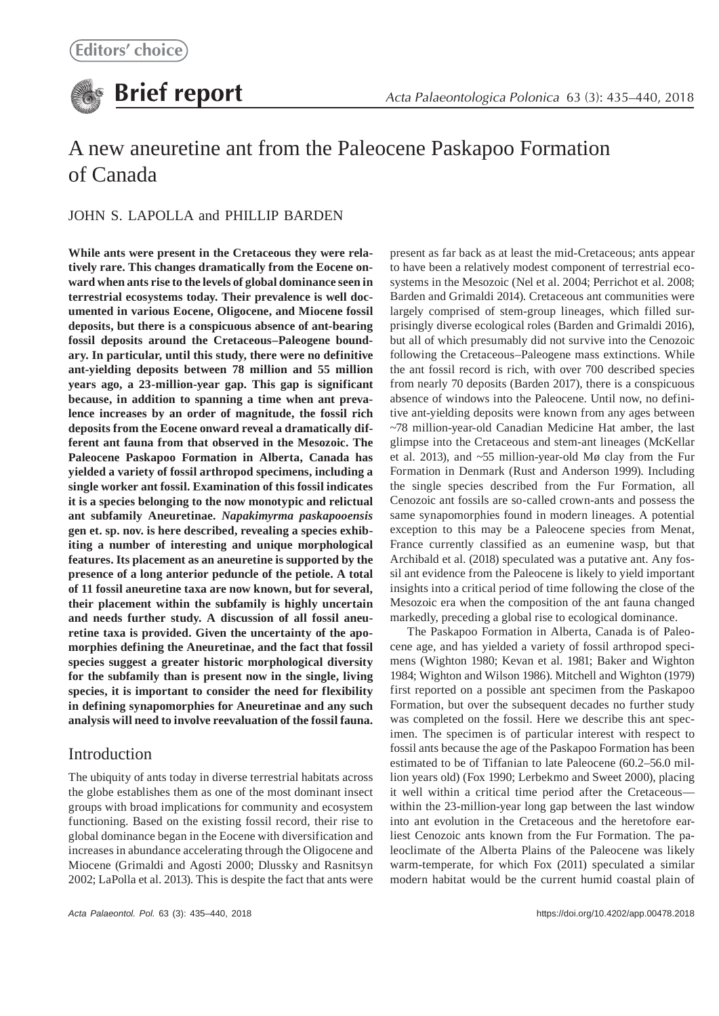# A new aneuretine ant from the Paleocene Paskapoo Formation of Canada

# JOHN S. LAPOLLA and PHILLIP BARDEN

**While ants were present in the Cretaceous they were relatively rare. This changes dramatically from the Eocene onward when ants rise to the levels of global dominance seen in terrestrial ecosystems today. Their prevalence is well documented in various Eocene, Oligocene, and Miocene fossil deposits, but there is a conspicuous absence of ant-bearing fossil deposits around the Cretaceous–Paleogene boundary. In particular, until this study, there were no definitive ant-yielding deposits between 78 million and 55 million years ago, a 23-million-year gap. This gap is significant because, in addition to spanning a time when ant prevalence increases by an order of magnitude, the fossil rich deposits from the Eocene onward reveal a dramatically different ant fauna from that observed in the Mesozoic. The Paleocene Paskapoo Formation in Alberta, Canada has yielded a variety of fossil arthropod specimens, including a single worker ant fossil. Examination of this fossil indicates it is a species belonging to the now monotypic and relictual ant subfamily Aneuretinae.** *Napakimyrma paskapooensis* **gen et. sp. nov. is here described, revealing a species exhibiting a number of interesting and unique morphological features. Its placement as an aneuretine is supported by the presence of a long anterior peduncle of the petiole. A total of 11 fossil aneuretine taxa are now known, but for several, their placement within the subfamily is highly uncertain and needs further study. A discussion of all fossil aneuretine taxa is provided. Given the uncertainty of the apomorphies defining the Aneuretinae, and the fact that fossil species suggest a greater historic morphological diversity for the subfamily than is present now in the single, living species, it is important to consider the need for flexibility in defining synapomorphies for Aneuretinae and any such analysis will need to involve reevaluation of the fossil fauna.**

# Introduction

The ubiquity of ants today in diverse terrestrial habitats across the globe establishes them as one of the most dominant insect groups with broad implications for community and ecosystem functioning. Based on the existing fossil record, their rise to global dominance began in the Eocene with diversification and increases in abundance accelerating through the Oligocene and Miocene (Grimaldi and Agosti 2000; Dlussky and Rasnitsyn 2002; LaPolla et al. 2013). This is despite the fact that ants were present as far back as at least the mid-Cretaceous; ants appear to have been a relatively modest component of terrestrial ecosystems in the Mesozoic (Nel et al. 2004; Perrichot et al. 2008; Barden and Grimaldi 2014). Cretaceous ant communities were largely comprised of stem-group lineages, which filled surprisingly diverse ecological roles (Barden and Grimaldi 2016), but all of which presumably did not survive into the Cenozoic following the Cretaceous–Paleogene mass extinctions. While the ant fossil record is rich, with over 700 described species from nearly 70 deposits (Barden 2017), there is a conspicuous absence of windows into the Paleocene. Until now, no definitive ant-yielding deposits were known from any ages between ~78 million-year-old Canadian Medicine Hat amber, the last glimpse into the Cretaceous and stem-ant lineages (McKellar et al. 2013), and ~55 million-year-old Mø clay from the Fur Formation in Denmark (Rust and Anderson 1999). Including the single species described from the Fur Formation, all Cenozoic ant fossils are so-called crown-ants and possess the same synapomorphies found in modern lineages. A potential exception to this may be a Paleocene species from Menat, France currently classified as an eumenine wasp, but that Archibald et al. (2018) speculated was a putative ant. Any fossil ant evidence from the Paleocene is likely to yield important insights into a critical period of time following the close of the Mesozoic era when the composition of the ant fauna changed markedly, preceding a global rise to ecological dominance.

The Paskapoo Formation in Alberta, Canada is of Paleocene age, and has yielded a variety of fossil arthropod specimens (Wighton 1980; Kevan et al. 1981; Baker and Wighton 1984; Wighton and Wilson 1986). Mitchell and Wighton (1979) first reported on a possible ant specimen from the Paskapoo Formation, but over the subsequent decades no further study was completed on the fossil. Here we describe this ant specimen. The specimen is of particular interest with respect to fossil ants because the age of the Paskapoo Formation has been estimated to be of Tiffanian to late Paleocene (60.2–56.0 million years old) (Fox 1990; Lerbekmo and Sweet 2000), placing it well within a critical time period after the Cretaceous within the 23-million-year long gap between the last window into ant evolution in the Cretaceous and the heretofore earliest Cenozoic ants known from the Fur Formation. The paleoclimate of the Alberta Plains of the Paleocene was likely warm-temperate, for which Fox (2011) speculated a similar modern habitat would be the current humid coastal plain of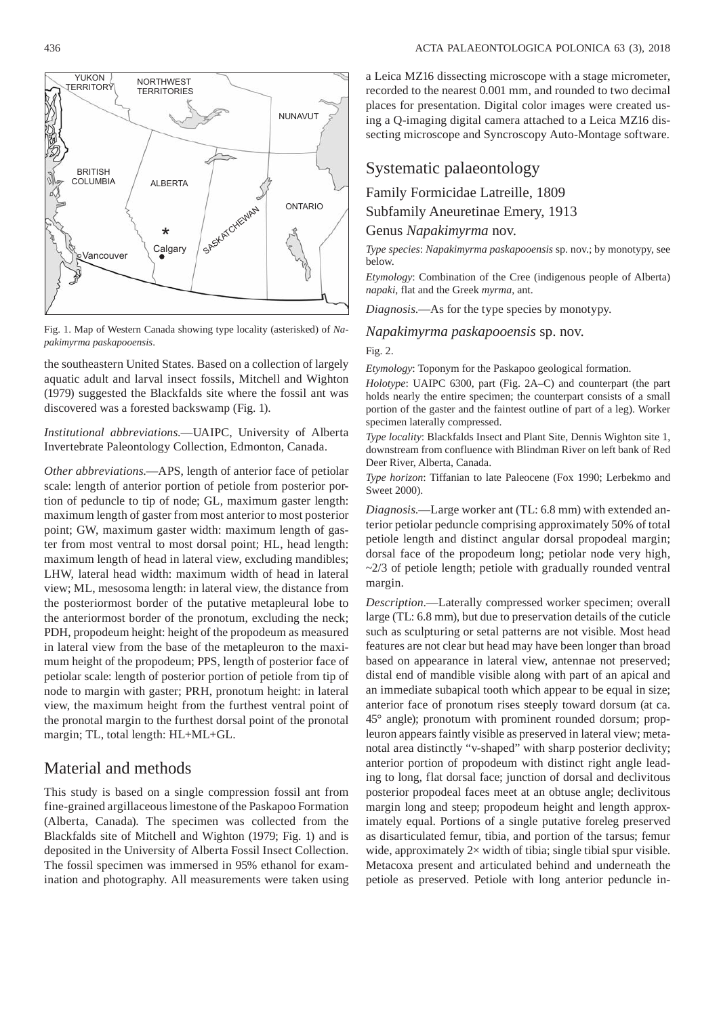

Fig. 1. Map of Western Canada showing type locality (asterisked) of *Napakimyrma paskapooensis*.

the southeastern United States. Based on a collection of largely aquatic adult and larval insect fossils, Mitchell and Wighton (1979) suggested the Blackfalds site where the fossil ant was discovered was a forested backswamp (Fig. 1).

*Institutional abbreviations*.—UAIPC, University of Alberta Invertebrate Paleontology Collection, Edmonton, Canada.

*Other abbreviations*.—APS, length of anterior face of petiolar scale: length of anterior portion of petiole from posterior portion of peduncle to tip of node; GL, maximum gaster length: maximum length of gaster from most anterior to most posterior point; GW, maximum gaster width: maximum length of gaster from most ventral to most dorsal point; HL, head length: maximum length of head in lateral view, excluding mandibles; LHW, lateral head width: maximum width of head in lateral view; ML, mesosoma length: in lateral view, the distance from the posteriormost border of the putative metapleural lobe to the anteriormost border of the pronotum, excluding the neck; PDH, propodeum height: height of the propodeum as measured in lateral view from the base of the metapleuron to the maximum height of the propodeum; PPS, length of posterior face of petiolar scale: length of posterior portion of petiole from tip of node to margin with gaster; PRH, pronotum height: in lateral view, the maximum height from the furthest ventral point of the pronotal margin to the furthest dorsal point of the pronotal margin; TL, total length: HL+ML+GL.

# Material and methods

This study is based on a single compression fossil ant from fine-grained argillaceous limestone of the Paskapoo Formation (Alberta, Canada). The specimen was collected from the Blackfalds site of Mitchell and Wighton (1979; Fig. 1) and is deposited in the University of Alberta Fossil Insect Collection. The fossil specimen was immersed in 95% ethanol for examination and photography. All measurements were taken using a Leica MZ16 dissecting microscope with a stage micrometer, recorded to the nearest 0.001 mm, and rounded to two decimal places for presentation. Digital color images were created using a Q-imaging digital camera attached to a Leica MZ16 dissecting microscope and Syncroscopy Auto-Montage software.

# Systematic palaeontology

Family Formicidae Latreille, 1809

Subfamily Aneuretinae Emery, 1913

### Genus *Napakimyrma* nov.

*Type species*: *Napakimyrma paskapooensis* sp. nov.; by monotypy, see below.

*Etymology*: Combination of the Cree (indigenous people of Alberta) *napaki*, flat and the Greek *myrma*, ant.

*Diagnosis*.—As for the type species by monotypy.

### *Napakimyrma paskapooensis* sp. nov.

#### Fig. 2.

*Etymology*: Toponym for the Paskapoo geological formation.

*Holotype*: UAIPC 6300, part (Fig. 2A–C) and counterpart (the part holds nearly the entire specimen; the counterpart consists of a small portion of the gaster and the faintest outline of part of a leg). Worker specimen laterally compressed.

*Type locality*: Blackfalds Insect and Plant Site, Dennis Wighton site 1, downstream from confluence with Blindman River on left bank of Red Deer River, Alberta, Canada.

*Type horizon*: Tiffanian to late Paleocene (Fox 1990; Lerbekmo and Sweet 2000).

*Diagnosis*.—Large worker ant (TL: 6.8 mm) with extended anterior petiolar peduncle comprising approximately 50% of total petiole length and distinct angular dorsal propodeal margin; dorsal face of the propodeum long; petiolar node very high,  $\sim$ 2/3 of petiole length; petiole with gradually rounded ventral margin.

*Description*.—Laterally compressed worker specimen; overall large (TL: 6.8 mm), but due to preservation details of the cuticle such as sculpturing or setal patterns are not visible. Most head features are not clear but head may have been longer than broad based on appearance in lateral view, antennae not preserved; distal end of mandible visible along with part of an apical and an immediate subapical tooth which appear to be equal in size; anterior face of pronotum rises steeply toward dorsum (at ca. 45° angle); pronotum with prominent rounded dorsum; propleuron appears faintly visible as preserved in lateral view; metanotal area distinctly "v-shaped" with sharp posterior declivity; anterior portion of propodeum with distinct right angle leading to long, flat dorsal face; junction of dorsal and declivitous posterior propodeal faces meet at an obtuse angle; declivitous margin long and steep; propodeum height and length approximately equal. Portions of a single putative foreleg preserved as disarticulated femur, tibia, and portion of the tarsus; femur wide, approximately 2× width of tibia; single tibial spur visible. Metacoxa present and articulated behind and underneath the petiole as preserved. Petiole with long anterior peduncle in-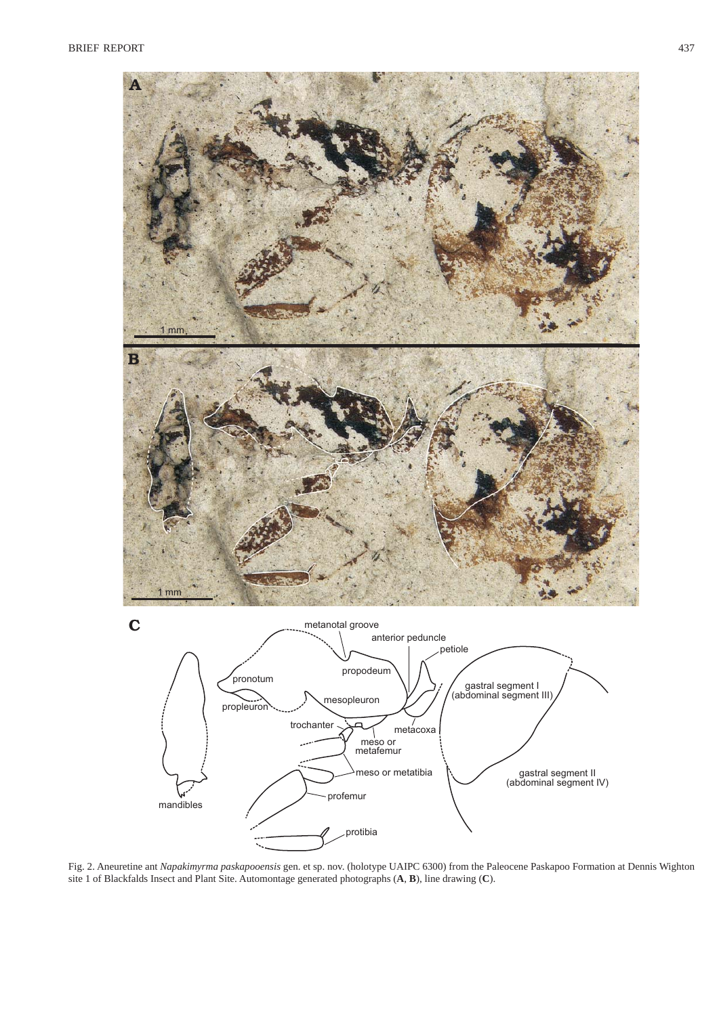

Fig. 2. Aneuretine ant *Napakimyrma paskapooensis* gen. et sp. nov. (holotype UAIPC 6300) from the Paleocene Paskapoo Formation at Dennis Wighton site 1 of Blackfalds Insect and Plant Site. Automontage generated photographs (**A**, **B**), line drawing (**C**).

protibia

profemur

mandibles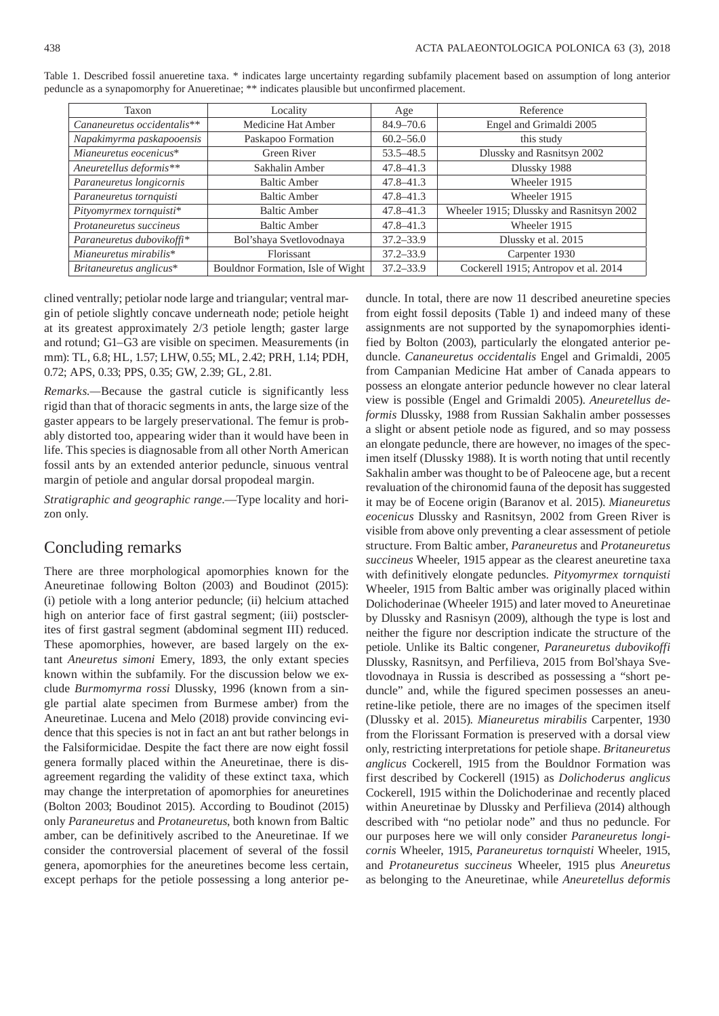| Taxon                       | Locality                          | Age           | Reference                                |
|-----------------------------|-----------------------------------|---------------|------------------------------------------|
| Cananeuretus occidentalis** | Medicine Hat Amber                | $84.9 - 70.6$ | Engel and Grimaldi 2005                  |
| Napakimyrma paskapooensis   | Paskapoo Formation                | $60.2 - 56.0$ | this study                               |
| Mianeuretus eocenicus*      | Green River                       | $53.5 - 48.5$ | Dlussky and Rasnitsyn 2002               |
| Aneuretellus deformis**     | Sakhalin Amber                    | $47.8 - 41.3$ | Dlussky 1988                             |
| Paraneuretus longicornis    | <b>Baltic Amber</b>               | $47.8 - 41.3$ | Wheeler 1915                             |
| Paraneuretus tornquisti     | <b>Baltic Amber</b>               | $47.8 - 41.3$ | Wheeler 1915                             |
| Pityomyrmex tornquisti*     | <b>Baltic Amber</b>               | $47.8 - 41.3$ | Wheeler 1915; Dlussky and Rasnitsyn 2002 |
| Protaneuretus succineus     | <b>Baltic Amber</b>               | $47.8 - 41.3$ | Wheeler 1915                             |
| Paraneuretus dubovikoffi*   | Bol'shaya Svetlovodnaya           | $37.2 - 33.9$ | Dlussky et al. 2015                      |
| Mianeuretus mirabilis*      | <b>Florissant</b>                 | $37.2 - 33.9$ | Carpenter 1930                           |
| Britaneuretus anglicus*     | Bouldnor Formation, Isle of Wight | $37.2 - 33.9$ | Cockerell 1915; Antropov et al. 2014     |

Table 1. Described fossil anueretine taxa. \* indicates large uncertainty regarding subfamily placement based on assumption of long anterior peduncle as a synapomorphy for Anueretinae; \*\* indicates plausible but unconfirmed placement.

clined ventrally; petiolar node large and triangular; ventral margin of petiole slightly concave underneath node; petiole height at its greatest approximately 2/3 petiole length; gaster large and rotund; G1–G3 are visible on specimen. Measurements (in mm): TL, 6.8; HL, 1.57; LHW, 0.55; ML, 2.42; PRH, 1.14; PDH, 0.72; APS, 0.33; PPS, 0.35; GW, 2.39; GL, 2.81.

*Remarks.—*Because the gastral cuticle is significantly less rigid than that of thoracic segments in ants, the large size of the gaster appears to be largely preservational. The femur is probably distorted too, appearing wider than it would have been in life. This species is diagnosable from all other North American fossil ants by an extended anterior peduncle, sinuous ventral margin of petiole and angular dorsal propodeal margin.

*Stratigraphic and geographic range*.—Type locality and horizon only.

# Concluding remarks

There are three morphological apomorphies known for the Aneuretinae following Bolton (2003) and Boudinot (2015): (i) petiole with a long anterior peduncle; (ii) helcium attached high on anterior face of first gastral segment; (iii) postsclerites of first gastral segment (abdominal segment III) reduced. These apomorphies, however, are based largely on the extant *Aneuretus simoni* Emery, 1893, the only extant species known within the subfamily. For the discussion below we exclude *Burmomyrma rossi* Dlussky, 1996 (known from a single partial alate specimen from Burmese amber) from the Aneuretinae. Lucena and Melo (2018) provide convincing evidence that this species is not in fact an ant but rather belongs in the Falsiformicidae. Despite the fact there are now eight fossil genera formally placed within the Aneuretinae, there is disagreement regarding the validity of these extinct taxa, which may change the interpretation of apomorphies for aneuretines (Bolton 2003; Boudinot 2015). According to Boudinot (2015) only *Paraneuretus* and *Protaneuretus*, both known from Baltic amber, can be definitively ascribed to the Aneuretinae. If we consider the controversial placement of several of the fossil genera, apomorphies for the aneuretines become less certain, except perhaps for the petiole possessing a long anterior peduncle. In total, there are now 11 described aneuretine species from eight fossil deposits (Table 1) and indeed many of these assignments are not supported by the synapomorphies identified by Bolton (2003), particularly the elongated anterior peduncle. *Cananeuretus occidentalis* Engel and Grimaldi, 2005 from Campanian Medicine Hat amber of Canada appears to possess an elongate anterior peduncle however no clear lateral view is possible (Engel and Grimaldi 2005). *Aneuretellus deformis* Dlussky, 1988 from Russian Sakhalin amber possesses a slight or absent petiole node as figured, and so may possess an elongate peduncle, there are however, no images of the specimen itself (Dlussky 1988). It is worth noting that until recently Sakhalin amber was thought to be of Paleocene age, but a recent revaluation of the chironomid fauna of the deposit has suggested it may be of Eocene origin (Baranov et al. 2015). *Mianeuretus eocenicus* Dlussky and Rasnitsyn, 2002 from Green River is visible from above only preventing a clear assessment of petiole structure. From Baltic amber, *Paraneuretus* and *Protaneuretus succineus* Wheeler, 1915 appear as the clearest aneuretine taxa with definitively elongate peduncles. *Pityomyrmex tornquisti*  Wheeler, 1915 from Baltic amber was originally placed within Dolichoderinae (Wheeler 1915) and later moved to Aneuretinae by Dlussky and Rasnisyn (2009), although the type is lost and neither the figure nor description indicate the structure of the petiole. Unlike its Baltic congener, *Paraneuretus dubovikoffi* Dlussky, Rasnitsyn, and Perfilieva, 2015 from Bol'shaya Svetlovodnaya in Russia is described as possessing a "short peduncle" and, while the figured specimen possesses an aneuretine-like petiole, there are no images of the specimen itself (Dlussky et al. 2015). *Mianeuretus mirabilis* Carpenter, 1930 from the Florissant Formation is preserved with a dorsal view only, restricting interpretations for petiole shape. *Britaneuretus anglicus* Cockerell, 1915 from the Bouldnor Formation was first described by Cockerell (1915) as *Dolichoderus anglicus* Cockerell, 1915 within the Dolichoderinae and recently placed within Aneuretinae by Dlussky and Perfilieva (2014) although described with "no petiolar node" and thus no peduncle. For our purposes here we will only consider *Paraneuretus longicornis* Wheeler, 1915, *Paraneuretus tornquisti* Wheeler, 1915, and *Protaneuretus succineus* Wheeler, 1915 plus *Aneuretus* as belonging to the Aneuretinae, while *Aneuretellus deformis*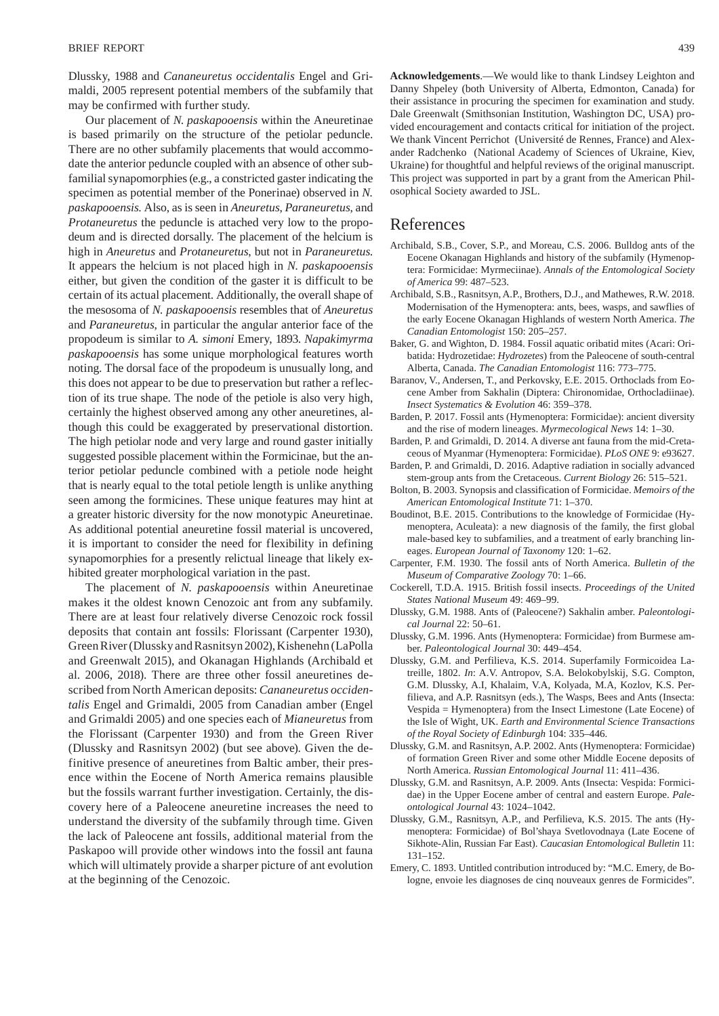Dlussky, 1988 and *Cananeuretus occidentalis* Engel and Grimaldi, 2005 represent potential members of the subfamily that may be confirmed with further study.

Our placement of *N*. *paskapooensis* within the Aneuretinae is based primarily on the structure of the petiolar peduncle. There are no other subfamily placements that would accommodate the anterior peduncle coupled with an absence of other subfamilial synapomorphies (e.g., a constricted gaster indicating the specimen as potential member of the Ponerinae) observed in *N. paskapooensis*. Also, as is seen in *Aneuretus*, *Paraneuretus*, and *Protaneuretus* the peduncle is attached very low to the propodeum and is directed dorsally. The placement of the helcium is high in *Aneuretus* and *Protaneuretus*, but not in *Paraneuretus*. It appears the helcium is not placed high in *N. paskapooensis* either, but given the condition of the gaster it is difficult to be certain of its actual placement. Additionally, the overall shape of the mesosoma of *N. paskapooensis* resembles that of *Aneuretus*  and *Paraneuretus*, in particular the angular anterior face of the propodeum is similar to *A. simoni* Emery, 1893. *Napakimyrma paskapooensis* has some unique morphological features worth noting. The dorsal face of the propodeum is unusually long, and this does not appear to be due to preservation but rather a reflection of its true shape. The node of the petiole is also very high, certainly the highest observed among any other aneuretines, although this could be exaggerated by preservational distortion. The high petiolar node and very large and round gaster initially suggested possible placement within the Formicinae, but the anterior petiolar peduncle combined with a petiole node height that is nearly equal to the total petiole length is unlike anything seen among the formicines. These unique features may hint at a greater historic diversity for the now monotypic Aneuretinae. As additional potential aneuretine fossil material is uncovered, it is important to consider the need for flexibility in defining synapomorphies for a presently relictual lineage that likely exhibited greater morphological variation in the past.

The placement of *N. paskapooensis* within Aneuretinae makes it the oldest known Cenozoic ant from any subfamily. There are at least four relatively diverse Cenozoic rock fossil deposits that contain ant fossils: Florissant (Carpenter 1930), Green River (Dlussky and Rasnitsyn 2002), Kishenehn (LaPolla and Greenwalt 2015), and Okanagan Highlands (Archibald et al. 2006, 2018). There are three other fossil aneuretines described from North American deposits: *Cananeuretus occidentalis* Engel and Grimaldi, 2005 from Canadian amber (Engel and Grimaldi 2005) and one species each of *Mianeuretus* from the Florissant (Carpenter 1930) and from the Green River (Dlussky and Rasnitsyn 2002) (but see above). Given the definitive presence of aneuretines from Baltic amber, their presence within the Eocene of North America remains plausible but the fossils warrant further investigation. Certainly, the discovery here of a Paleocene aneuretine increases the need to understand the diversity of the subfamily through time. Given the lack of Paleocene ant fossils, additional material from the Paskapoo will provide other windows into the fossil ant fauna which will ultimately provide a sharper picture of ant evolution at the beginning of the Cenozoic.

**Acknowledgements**.—We would like to thank Lindsey Leighton and Danny Shpeley (both University of Alberta, Edmonton, Canada) for their assistance in procuring the specimen for examination and study. Dale Greenwalt (Smithsonian Institution, Washington DC, USA) provided encouragement and contacts critical for initiation of the project. We thank Vincent Perrichot (Université de Rennes, France) and Alexander Radchenko (National Academy of Sciences of Ukraine, Kiev, Ukraine) for thoughtful and helpful reviews of the original manuscript. This project was supported in part by a grant from the American Philosophical Society awarded to JSL.

## References

- Archibald, S.B., Cover, S.P., and Moreau, C.S. 2006. Bulldog ants of the Eocene Okanagan Highlands and history of the subfamily (Hymenoptera: Formicidae: Myrmeciinae). *Annals of the Entomological Society of America* 99: 487–523.
- Archibald, S.B., Rasnitsyn, A.P., Brothers, D.J., and Mathewes, R.W. 2018. Modernisation of the Hymenoptera: ants, bees, wasps, and sawflies of the early Eocene Okanagan Highlands of western North America. *The Canadian Entomologist* 150: 205–257.
- Baker, G. and Wighton, D. 1984. Fossil aquatic oribatid mites (Acari: Oribatida: Hydrozetidae: *Hydrozetes*) from the Paleocene of south-central Alberta, Canada. *The Canadian Entomologist* 116: 773–775.
- Baranov, V., Andersen, T., and Perkovsky, E.E. 2015. Orthoclads from Eocene Amber from Sakhalin (Diptera: Chironomidae, Orthocladiinae). *Insect Systematics & Evolution* 46: 359–378.
- Barden, P. 2017. Fossil ants (Hymenoptera: Formicidae): ancient diversity and the rise of modern lineages. *Myrmecological News* 14: 1–30.
- Barden, P. and Grimaldi, D. 2014. A diverse ant fauna from the mid-Cretaceous of Myanmar (Hymenoptera: Formicidae). *PLoS ONE* 9: e93627.
- Barden, P. and Grimaldi, D. 2016. Adaptive radiation in socially advanced stem-group ants from the Cretaceous. *Current Biology* 26: 515–521.
- Bolton, B. 2003. Synopsis and classification of Formicidae. *Memoirs of the American Entomological Institute* 71: 1–370.
- Boudinot, B.E. 2015. Contributions to the knowledge of Formicidae (Hymenoptera, Aculeata): a new diagnosis of the family, the first global male-based key to subfamilies, and a treatment of early branching lineages. *European Journal of Taxonomy* 120: 1–62.
- Carpenter, F.M. 1930. The fossil ants of North America. *Bulletin of the Museum of Comparative Zoology* 70: 1–66.
- Cockerell, T.D.A. 1915. British fossil insects. *Proceedings of the United States National Museum* 49: 469–99.
- Dlussky, G.M. 1988. Ants of (Paleocene?) Sakhalin amber. *Paleontological Journal* 22: 50–61.
- Dlussky, G.M. 1996. Ants (Hymenoptera: Formicidae) from Burmese amber. *Paleontological Journal* 30: 449–454.
- Dlussky, G.M. and Perfilieva, K.S. 2014. Superfamily Formicoidea Latreille, 1802. *In*: A.V. Antropov, S.A. Belokobylskij, S.G. Compton, G.M. Dlussky, A.I, Khalaim, V.A, Kolyada, M.A, Kozlov, K.S. Perfilieva, and A.P. Rasnitsyn (eds.), The Wasps, Bees and Ants (Insecta: Vespida = Hymenoptera) from the Insect Limestone (Late Eocene) of the Isle of Wight, UK. *Earth and Environmental Science Transactions of the Royal Society of Edinburgh* 104: 335–446.
- Dlussky, G.M. and Rasnitsyn, A.P. 2002. Ants (Hymenoptera: Formicidae) of formation Green River and some other Middle Eocene deposits of North America. *Russian Entomological Journal* 11: 411–436.
- Dlussky, G.M. and Rasnitsyn, A.P. 2009. Ants (Insecta: Vespida: Formicidae) in the Upper Eocene amber of central and eastern Europe. *Paleontological Journal* 43: 1024–1042.
- Dlussky, G.M., Rasnitsyn, A.P., and Perfilieva, K.S. 2015. The ants (Hymenoptera: Formicidae) of Bol'shaya Svetlovodnaya (Late Eocene of Sikhote-Alin, Russian Far East). *Caucasian Entomological Bulletin* 11: 131–152.
- Emery, C. 1893. Untitled contribution introduced by: "M.C. Emery, de Bologne, envoie les diagnoses de cinq nouveaux genres de Formicides".